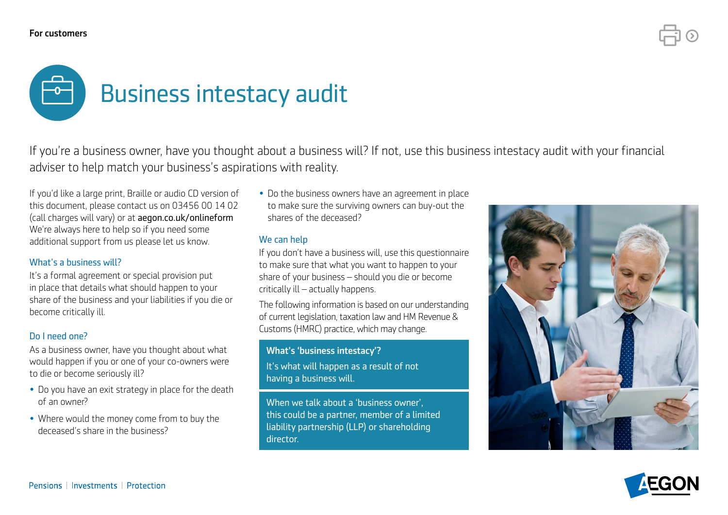#### For customers



If you're a business owner, have you thought about a business will? If not, use this business intestacy audit with your financial adviser to help match your business's aspirations with reality.

If you'd like a large print, Braille or audio CD version of this document, please contact us on 03456 00 14 02 (call charges will vary) or at [aegon.co.uk/onlineform](https://www.aegon.co.uk/onlineform) We're always here to help so if you need some additional support from us please let us know.

### What's a business will?

It's a formal agreement or special provision put in place that details what should happen to your share of the business and your liabilities if you die or become critically ill.

#### Do I need one?

As a business owner, have you thought about what would happen if you or one of your co-owners were to die or become seriously ill?

- Do you have an exit strategy in place for the death of an owner?
- Where would the money come from to buy the deceased's share in the business?

• Do the business owners have an agreement in place to make sure the surviving owners can buy-out the shares of the deceased?

### We can help

If you don't have a business will, use this questionnaire to make sure that what you want to happen to your share of your business – should you die or become critically ill – actually happens.

The following information is based on our understanding of current legislation, taxation law and HM Revenue & Customs (HMRC) practice, which may change.

### What's 'business intestacy'?

It's what will happen as a result of not having a business will.

When we talk about a 'business owner', this could be a partner, member of a limited liability partnership (LLP) or shareholding director.



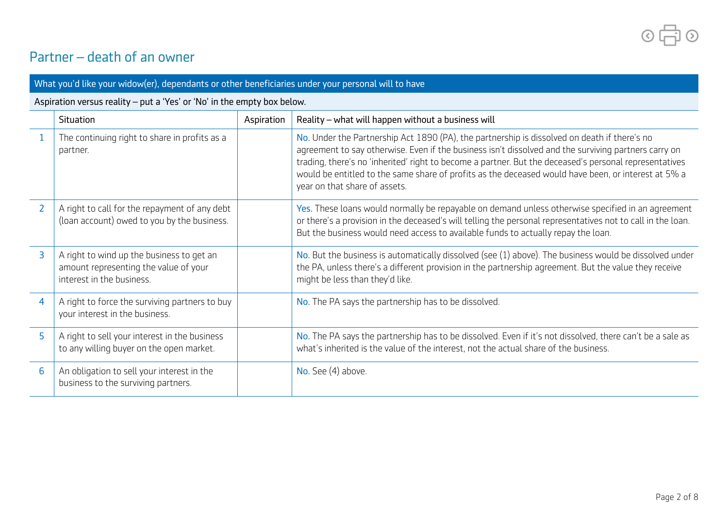$\circ$  $\Box$ 

## Partner – death of an owner

| What you'd like your widow(er), dependants or other beneficiaries under your personal will to have |                                                                                                                 |            |                                                                                                                                                                                                                                                                                                                                                                                                                                                        |
|----------------------------------------------------------------------------------------------------|-----------------------------------------------------------------------------------------------------------------|------------|--------------------------------------------------------------------------------------------------------------------------------------------------------------------------------------------------------------------------------------------------------------------------------------------------------------------------------------------------------------------------------------------------------------------------------------------------------|
| Aspiration versus reality - put a 'Yes' or 'No' in the empty box below.                            |                                                                                                                 |            |                                                                                                                                                                                                                                                                                                                                                                                                                                                        |
|                                                                                                    | <b>Situation</b>                                                                                                | Aspiration | Reality - what will happen without a business will                                                                                                                                                                                                                                                                                                                                                                                                     |
|                                                                                                    | The continuing right to share in profits as a<br>partner.                                                       |            | No. Under the Partnership Act 1890 (PA), the partnership is dissolved on death if there's no<br>agreement to say otherwise. Even if the business isn't dissolved and the surviving partners carry on<br>trading, there's no 'inherited' right to become a partner. But the deceased's personal representatives<br>would be entitled to the same share of profits as the deceased would have been, or interest at 5% a<br>year on that share of assets. |
| $\overline{2}$                                                                                     | A right to call for the repayment of any debt<br>(loan account) owed to you by the business.                    |            | Yes. These loans would normally be repayable on demand unless otherwise specified in an agreement<br>or there's a provision in the deceased's will telling the personal representatives not to call in the loan.<br>But the business would need access to available funds to actually repay the loan.                                                                                                                                                  |
| $\overline{3}$                                                                                     | A right to wind up the business to get an<br>amount representing the value of your<br>interest in the business. |            | No. But the business is automatically dissolved (see $(1)$ above). The business would be dissolved under<br>the PA, unless there's a different provision in the partnership agreement. But the value they receive<br>might be less than they'd like.                                                                                                                                                                                                   |
| 4                                                                                                  | A right to force the surviving partners to buy<br>your interest in the business.                                |            | No. The PA says the partnership has to be dissolved.                                                                                                                                                                                                                                                                                                                                                                                                   |
| 5                                                                                                  | A right to sell your interest in the business<br>to any willing buyer on the open market.                       |            | No. The PA says the partnership has to be dissolved. Even if it's not dissolved, there can't be a sale as<br>what's inherited is the value of the interest, not the actual share of the business.                                                                                                                                                                                                                                                      |
| 6                                                                                                  | An obligation to sell your interest in the<br>business to the surviving partners.                               |            | No. See (4) above.                                                                                                                                                                                                                                                                                                                                                                                                                                     |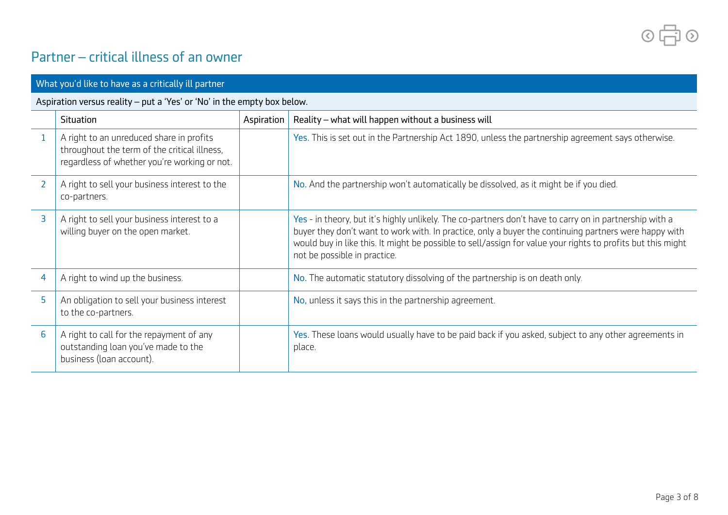$\circ$  $\Box$ 

## Partner – critical illness of an owner

| What you'd like to have as a critically ill partner                     |                                                                                                                                          |            |                                                                                                                                                                                                                                                                                                                                                                 |
|-------------------------------------------------------------------------|------------------------------------------------------------------------------------------------------------------------------------------|------------|-----------------------------------------------------------------------------------------------------------------------------------------------------------------------------------------------------------------------------------------------------------------------------------------------------------------------------------------------------------------|
| Aspiration versus reality - put a 'Yes' or 'No' in the empty box below. |                                                                                                                                          |            |                                                                                                                                                                                                                                                                                                                                                                 |
|                                                                         | Situation                                                                                                                                | Aspiration | Reality - what will happen without a business will                                                                                                                                                                                                                                                                                                              |
| 1                                                                       | A right to an unreduced share in profits<br>throughout the term of the critical illness,<br>regardless of whether you're working or not. |            | Yes. This is set out in the Partnership Act 1890, unless the partnership agreement says otherwise.                                                                                                                                                                                                                                                              |
| $\overline{2}$                                                          | A right to sell your business interest to the<br>co-partners.                                                                            |            | No. And the partnership won't automatically be dissolved, as it might be if you died.                                                                                                                                                                                                                                                                           |
| 3                                                                       | A right to sell your business interest to a<br>willing buyer on the open market.                                                         |            | Yes - in theory, but it's highly unlikely. The co-partners don't have to carry on in partnership with a<br>buyer they don't want to work with. In practice, only a buyer the continuing partners were happy with<br>would buy in like this. It might be possible to sell/assign for value your rights to profits but this might<br>not be possible in practice. |
| 4                                                                       | A right to wind up the business.                                                                                                         |            | No. The automatic statutory dissolving of the partnership is on death only.                                                                                                                                                                                                                                                                                     |
| 5                                                                       | An obligation to sell your business interest<br>to the co-partners.                                                                      |            | No, unless it says this in the partnership agreement.                                                                                                                                                                                                                                                                                                           |
| 6                                                                       | A right to call for the repayment of any<br>outstanding loan you've made to the<br>business (loan account).                              |            | Yes. These loans would usually have to be paid back if you asked, subject to any other agreements in<br>place.                                                                                                                                                                                                                                                  |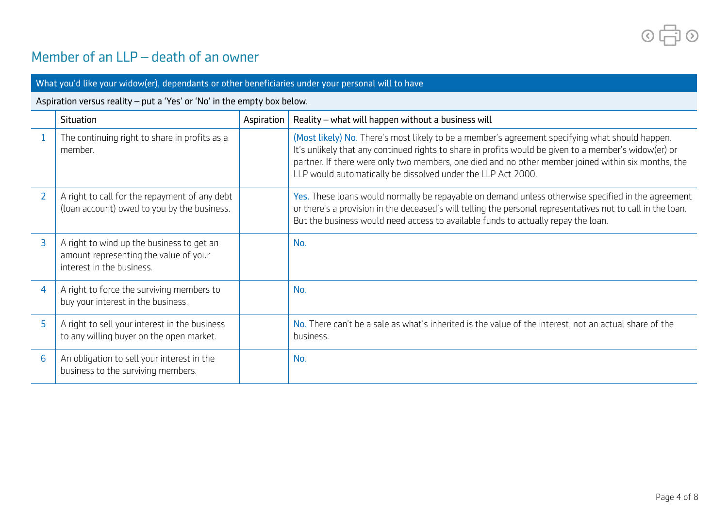$\circ$   $\Box$  $\circ$ 

## Member of an LLP – death of an owner

| What you'd like your widow(er), dependants or other beneficiaries under your personal will to have |                                                                                                                 |            |                                                                                                                                                                                                                                                                                                                                                                                 |
|----------------------------------------------------------------------------------------------------|-----------------------------------------------------------------------------------------------------------------|------------|---------------------------------------------------------------------------------------------------------------------------------------------------------------------------------------------------------------------------------------------------------------------------------------------------------------------------------------------------------------------------------|
| Aspiration versus reality - put a 'Yes' or 'No' in the empty box below.                            |                                                                                                                 |            |                                                                                                                                                                                                                                                                                                                                                                                 |
|                                                                                                    | Situation                                                                                                       | Aspiration | Reality - what will happen without a business will                                                                                                                                                                                                                                                                                                                              |
|                                                                                                    | The continuing right to share in profits as a<br>member.                                                        |            | (Most likely) No. There's most likely to be a member's agreement specifying what should happen.<br>It's unlikely that any continued rights to share in profits would be given to a member's widow(er) or<br>partner. If there were only two members, one died and no other member joined within six months, the<br>LLP would automatically be dissolved under the LLP Act 2000. |
| $\overline{2}$                                                                                     | A right to call for the repayment of any debt<br>(loan account) owed to you by the business.                    |            | Yes. These loans would normally be repayable on demand unless otherwise specified in the agreement<br>or there's a provision in the deceased's will telling the personal representatives not to call in the loan.<br>But the business would need access to available funds to actually repay the loan.                                                                          |
| 3                                                                                                  | A right to wind up the business to get an<br>amount representing the value of your<br>interest in the business. |            | No.                                                                                                                                                                                                                                                                                                                                                                             |
| 4                                                                                                  | A right to force the surviving members to<br>buy your interest in the business.                                 |            | No.                                                                                                                                                                                                                                                                                                                                                                             |
| 5                                                                                                  | A right to sell your interest in the business<br>to any willing buyer on the open market.                       |            | No. There can't be a sale as what's inherited is the value of the interest, not an actual share of the<br>business.                                                                                                                                                                                                                                                             |
| 6                                                                                                  | An obligation to sell your interest in the<br>business to the surviving members.                                |            | No.                                                                                                                                                                                                                                                                                                                                                                             |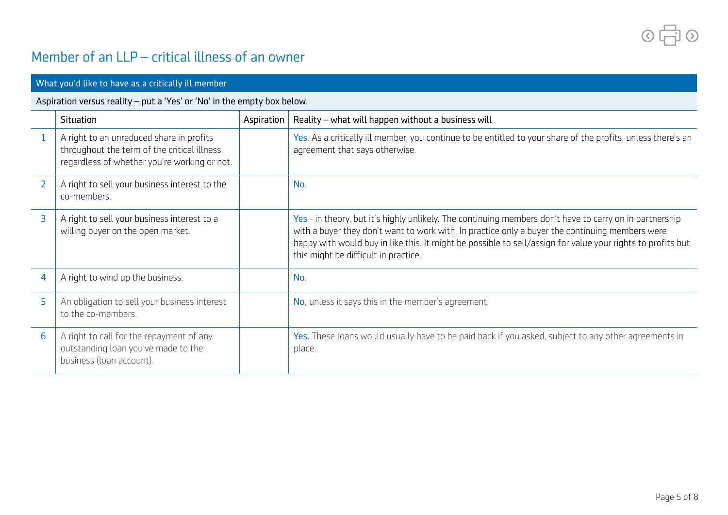$\circ$   $\Box$  $\circ$ 

# Member of an LLP – critical illness of an owner

| What you'd like to have as a critically ill member                      |                                                                                                                                          |            |                                                                                                                                                                                                                                                                                                                                                                   |
|-------------------------------------------------------------------------|------------------------------------------------------------------------------------------------------------------------------------------|------------|-------------------------------------------------------------------------------------------------------------------------------------------------------------------------------------------------------------------------------------------------------------------------------------------------------------------------------------------------------------------|
| Aspiration versus reality - put a 'Yes' or 'No' in the empty box below. |                                                                                                                                          |            |                                                                                                                                                                                                                                                                                                                                                                   |
|                                                                         | Situation                                                                                                                                | Aspiration | Reality - what will happen without a business will                                                                                                                                                                                                                                                                                                                |
|                                                                         | A right to an unreduced share in profits<br>throughout the term of the critical illness,<br>regardless of whether you're working or not. |            | Yes. As a critically ill member, you continue to be entitled to your share of the profits, unless there's an<br>agreement that says otherwise.                                                                                                                                                                                                                    |
| $\overline{2}$                                                          | A right to sell your business interest to the<br>co-members.                                                                             |            | No.                                                                                                                                                                                                                                                                                                                                                               |
| 3                                                                       | A right to sell your business interest to a<br>willing buyer on the open market.                                                         |            | Yes - in theory, but it's highly unlikely. The continuing members don't have to carry on in partnership<br>with a buyer they don't want to work with. In practice only a buyer the continuing members were<br>happy with would buy in like this. It might be possible to sell/assign for value your rights to profits but<br>this might be difficult in practice. |
| 4                                                                       | A right to wind up the business.                                                                                                         |            | No.                                                                                                                                                                                                                                                                                                                                                               |
| 5                                                                       | An obligation to sell your business interest<br>to the co-members.                                                                       |            | No, unless it says this in the member's agreement.                                                                                                                                                                                                                                                                                                                |
| 6                                                                       | A right to call for the repayment of any<br>outstanding loan you've made to the<br>business (loan account).                              |            | Yes. These loans would usually have to be paid back if you asked, subject to any other agreements in<br>place.                                                                                                                                                                                                                                                    |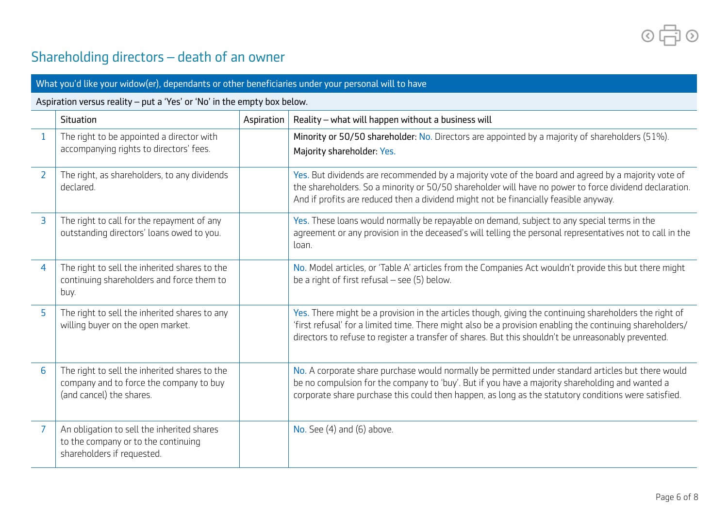$\frac{1}{\sqrt{2}}$  $\odot$  $\odot$ 

# Shareholding directors – death of an owner

| What you'd like your widow(er), dependants or other beneficiaries under your personal will to have |                                                                                                                      |            |                                                                                                                                                                                                                                                                                                                             |
|----------------------------------------------------------------------------------------------------|----------------------------------------------------------------------------------------------------------------------|------------|-----------------------------------------------------------------------------------------------------------------------------------------------------------------------------------------------------------------------------------------------------------------------------------------------------------------------------|
| Aspiration versus reality - put a 'Yes' or 'No' in the empty box below.                            |                                                                                                                      |            |                                                                                                                                                                                                                                                                                                                             |
|                                                                                                    | Situation                                                                                                            | Aspiration | Reality - what will happen without a business will                                                                                                                                                                                                                                                                          |
| $\mathbf{1}$                                                                                       | The right to be appointed a director with<br>accompanying rights to directors' fees.                                 |            | Minority or 50/50 shareholder: No. Directors are appointed by a majority of shareholders (51%).<br>Majority shareholder: Yes.                                                                                                                                                                                               |
| $\overline{2}$                                                                                     | The right, as shareholders, to any dividends<br>declared.                                                            |            | Yes. But dividends are recommended by a majority vote of the board and agreed by a majority vote of<br>the shareholders. So a minority or 50/50 shareholder will have no power to force dividend declaration.<br>And if profits are reduced then a dividend might not be financially feasible anyway.                       |
| $\overline{3}$                                                                                     | The right to call for the repayment of any<br>outstanding directors' loans owed to you.                              |            | Yes. These loans would normally be repayable on demand, subject to any special terms in the<br>agreement or any provision in the deceased's will telling the personal representatives not to call in the<br>loan.                                                                                                           |
| $\overline{4}$                                                                                     | The right to sell the inherited shares to the<br>continuing shareholders and force them to<br>buy.                   |            | No. Model articles, or 'Table A' articles from the Companies Act wouldn't provide this but there might<br>be a right of first refusal $-$ see (5) below.                                                                                                                                                                    |
| 5                                                                                                  | The right to sell the inherited shares to any<br>willing buyer on the open market.                                   |            | Yes. There might be a provision in the articles though, giving the continuing shareholders the right of<br>'first refusal' for a limited time. There might also be a provision enabling the continuing shareholders/<br>directors to refuse to register a transfer of shares. But this shouldn't be unreasonably prevented. |
| 6                                                                                                  | The right to sell the inherited shares to the<br>company and to force the company to buy<br>(and cancel) the shares. |            | No. A corporate share purchase would normally be permitted under standard articles but there would<br>be no compulsion for the company to 'buy'. But if you have a majority shareholding and wanted a<br>corporate share purchase this could then happen, as long as the statutory conditions were satisfied.               |
| $\overline{7}$                                                                                     | An obligation to sell the inherited shares<br>to the company or to the continuing<br>shareholders if requested.      |            | No. See $(4)$ and $(6)$ above.                                                                                                                                                                                                                                                                                              |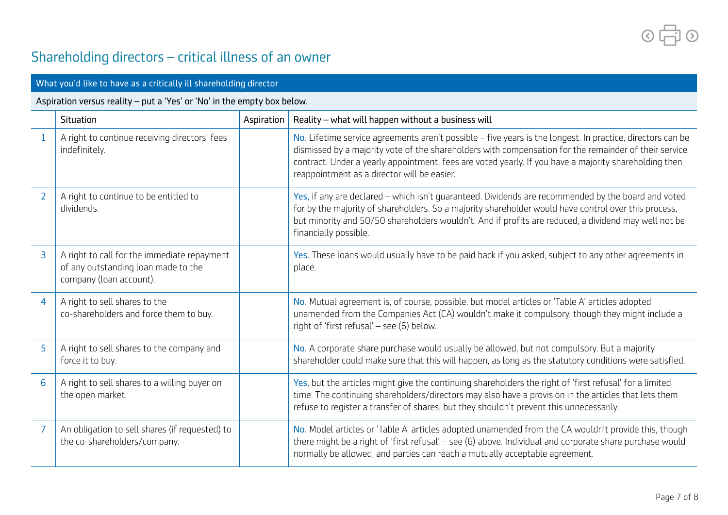5  $\odot$  $\odot$ 

# Shareholding directors – critical illness of an owner

| What you'd like to have as a critically ill shareholding director       |                                                                                                               |            |                                                                                                                                                                                                                                                                                                                                                                               |
|-------------------------------------------------------------------------|---------------------------------------------------------------------------------------------------------------|------------|-------------------------------------------------------------------------------------------------------------------------------------------------------------------------------------------------------------------------------------------------------------------------------------------------------------------------------------------------------------------------------|
| Aspiration versus reality - put a 'Yes' or 'No' in the empty box below. |                                                                                                               |            |                                                                                                                                                                                                                                                                                                                                                                               |
|                                                                         | Situation                                                                                                     | Aspiration | Reality - what will happen without a business will                                                                                                                                                                                                                                                                                                                            |
| $\mathbf{1}$                                                            | A right to continue receiving directors' fees<br>indefinitely.                                                |            | No. Lifetime service agreements aren't possible $-$ five years is the longest. In practice, directors can be<br>dismissed by a majority vote of the shareholders with compensation for the remainder of their service<br>contract. Under a yearly appointment, fees are voted yearly. If you have a majority shareholding then<br>reappointment as a director will be easier. |
| $\overline{2}$                                                          | A right to continue to be entitled to<br>dividends.                                                           |            | Yes, if any are declared $-$ which isn't guaranteed. Dividends are recommended by the board and voted<br>for by the majority of shareholders. So a majority shareholder would have control over this process,<br>but minority and 50/50 shareholders wouldn't. And if profits are reduced, a dividend may well not be<br>financially possible.                                |
| $\overline{3}$                                                          | A right to call for the immediate repayment<br>of any outstanding loan made to the<br>company (loan account). |            | Yes. These loans would usually have to be paid back if you asked, subject to any other agreements in<br>place.                                                                                                                                                                                                                                                                |
| 4                                                                       | A right to sell shares to the<br>co-shareholders and force them to buy.                                       |            | No. Mutual agreement is, of course, possible, but model articles or 'Table A' articles adopted<br>unamended from the Companies Act (CA) wouldn't make it compulsory, though they might include a<br>right of 'first refusal' $-$ see (6) below.                                                                                                                               |
| 5                                                                       | A right to sell shares to the company and<br>force it to buy.                                                 |            | No. A corporate share purchase would usually be allowed, but not compulsory. But a majority<br>shareholder could make sure that this will happen, as long as the statutory conditions were satisfied.                                                                                                                                                                         |
| 6                                                                       | A right to sell shares to a willing buyer on<br>the open market.                                              |            | Yes, but the articles might give the continuing shareholders the right of 'first refusal' for a limited<br>time. The continuing shareholders/directors may also have a provision in the articles that lets them<br>refuse to register a transfer of shares, but they shouldn't prevent this unnecessarily.                                                                    |
| 7                                                                       | An obligation to sell shares (if requested) to<br>the co-shareholders/company.                                |            | No. Model articles or 'Table A' articles adopted unamended from the CA wouldn't provide this, though<br>there might be a right of 'first refusal' - see (6) above. Individual and corporate share purchase would<br>normally be allowed, and parties can reach a mutually acceptable agreement.                                                                               |